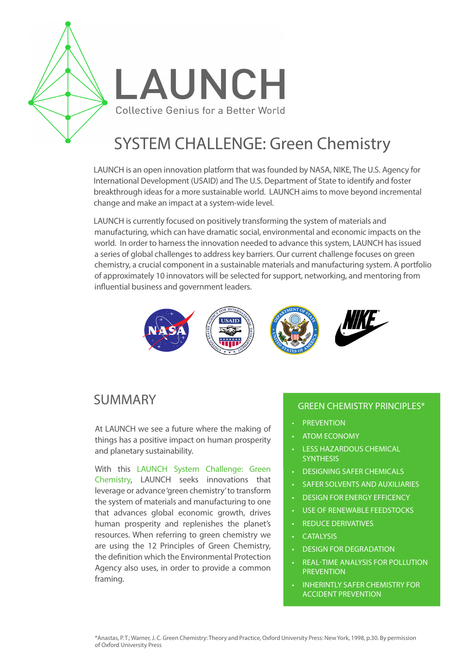

# SYSTEM CHALLENGE: Green Chemistry

LAUNCH is an open innovation platform that was founded by NASA, NIKE, The U.S. Agency for International Development (USAID) and The U.S. Department of State to identify and foster breakthrough ideas for a more sustainable world. LAUNCH aims to move beyond incremental change and make an impact at a system-wide level.

LAUNCH is currently focused on positively transforming the system of materials and manufacturing, which can have dramatic social, environmental and economic impacts on the world. In order to harness the innovation needed to advance this system, LAUNCH has issued a series of global challenges to address key barriers. Our current challenge focuses on green chemistry, a crucial component in a sustainable materials and manufacturing system. A portfolio of approximately 10 innovators will be selected for support, networking, and mentoring from influential business and government leaders.



### SUMMARY

At LAUNCH we see a future where the making of things has a positive impact on human prosperity and planetary sustainability.

With this LAUNCH System Challenge: Green Chemistry, LAUNCH seeks innovations that leverage or advance 'green chemistry' to transform the system of materials and manufacturing to one that advances global economic growth, drives human prosperity and replenishes the planet's resources. When referring to green chemistry we are using the 12 Principles of Green Chemistry, the definition which the Environmental Protection Agency also uses, in order to provide a common framing.

#### GREEN CHEMISTRY PRINCIPLES\*

- **PREVENTION**
- ATOM ECONOMY
- LESS HAZARDOUS CHEMICAL **SYNTHESIS**
- DESIGNING SAFER CHEMICALS
- **SAFER SOLVENTS AND AUXILIARIES**
- DESIGN FOR ENERGY EFFICENCY
- USE OF RENEWABLE FEEDSTOCKS
- **REDUCE DERIVATIVES**
- CATALYSIS
- **DESIGN FOR DEGRADATION**
- REAL-TIME ANALYSIS FOR POLLUTION **PREVENTION**
- **INHERINTLY SAFER CHEMISTRY FOR** ACCIDENT PREVENTION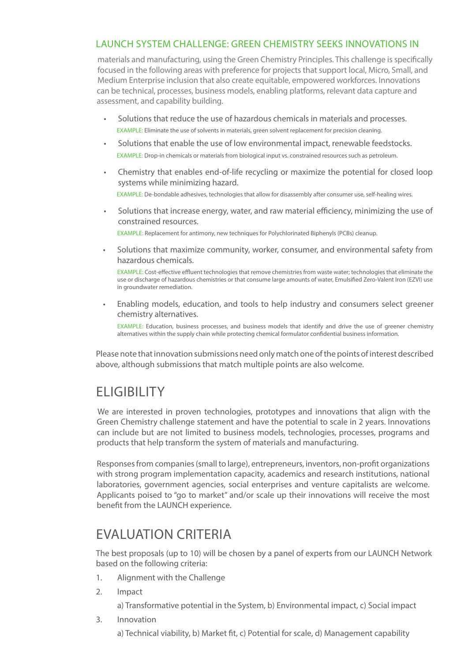### LAUNCH SYSTEM CHALLENGE: GREEN CHEMISTRY SEEKS INNOVATIONS IN

materials and manufacturing, using the Green Chemistry Principles. This challenge is specifically focused in the following areas with preference for projects that support local, Micro, Small, and Medium Enterprise inclusion that also create equitable, empowered workforces. Innovations can be technical, processes, business models, enabling platforms, relevant data capture and assessment, and capability building.

- Solutions that reduce the use of hazardous chemicals in materials and processes. EXAMPLE: Eliminate the use of solvents in materials, green solvent replacement for precision cleaning.
- Solutions that enable the use of low environmental impact, renewable feedstocks. EXAMPLE: Drop-in chemicals or materials from biological input vs. constrained resources such as petroleum.
- Chemistry that enables end-of-life recycling or maximize the potential for closed loop systems while minimizing hazard. EXAMPLE: De-bondable adhesives, technologies that allow for disassembly after consumer use, self-healing wires.
- Solutions that increase energy, water, and raw material efficiency, minimizing the use of constrained resources. EXAMPLE: Replacement for antimony, new techniques for Polychlorinated Biphenyls (PCBs) cleanup.
- Solutions that maximize community, worker, consumer, and environmental safety from hazardous chemicals.

EXAMPLE: Cost-effective effluent technologies that remove chemistries from waste water; technologies that eliminate the use or discharge of hazardous chemistries or that consume large amounts of water, Emulsified Zero-Valent Iron (EZVI) use in groundwater remediation.

• Enabling models, education, and tools to help industry and consumers select greener chemistry alternatives.

EXAMPLE: Education, business processes, and business models that identify and drive the use of greener chemistry alternatives within the supply chain while protecting chemical formulator confidential business information.

Please note that innovation submissions need only match one of the points of interest described above, although submissions that match multiple points are also welcome.

# ELIGIBILITY

We are interested in proven technologies, prototypes and innovations that align with the Green Chemistry challenge statement and have the potential to scale in 2 years. Innovations can include but are not limited to business models, technologies, processes, programs and products that help transform the system of materials and manufacturing.

Responses from companies (small to large), entrepreneurs, inventors, non-profit organizations with strong program implementation capacity, academics and research institutions, national laboratories, government agencies, social enterprises and venture capitalists are welcome. Applicants poised to "go to market" and/or scale up their innovations will receive the most benefit from the LAUNCH experience.

# EVALUATION CRITERIA

The best proposals (up to 10) will be chosen by a panel of experts from our LAUNCH Network based on the following criteria:

- 1. Alignment with the Challenge
- 2. Impact
	- a) Transformative potential in the System, b) Environmental impact, c) Social impact
- 3. Innovation

a) Technical viability, b) Market fit, c) Potential for scale, d) Management capability